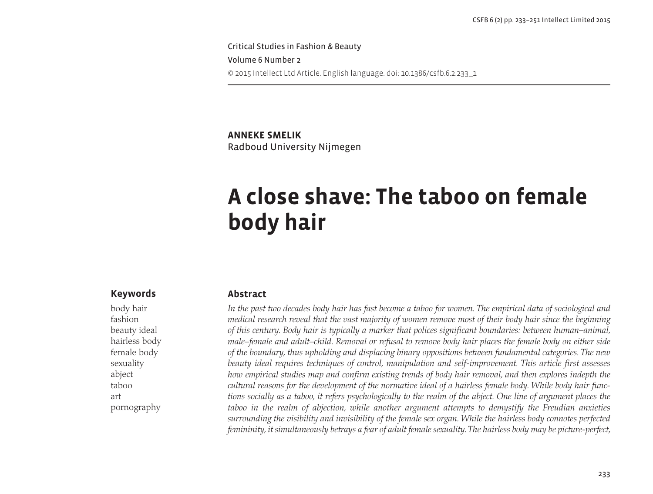Critical Studies in Fashion & Beauty Volume 6 Number 2 © 2015 Intellect Ltd Article. English language. doi: 10.1386/csfb.6.2.233\_1

**Anneke Smelik** Radboud University Nijmegen

## **A close shave: The taboo on female body hair**

#### **Keywords**

body hair fashion beauty ideal hairless body female body sexuality abject taboo art pornography

#### **Abstract**

*In the past two decades body hair has fast become a taboo for women. The empirical data of sociological and medical research reveal that the vast majority of women remove most of their body hair since the beginning of this century. Body hair is typically a marker that polices significant boundaries: between human–animal, male–female and adult–child. Removal or refusal to remove body hair places the female body on either side of the boundary, thus upholding and displacing binary oppositions between fundamental categories. The new beauty ideal requires techniques of control, manipulation and self-improvement. This article first assesses how empirical studies map and confirm existing trends of body hair removal, and then explores indepth the cultural reasons for the development of the normative ideal of a hairless female body. While body hair functions socially as a taboo, it refers psychologically to the realm of the abject. One line of argument places the taboo in the realm of abjection, while another argument attempts to demystify the Freudian anxieties surrounding the visibility and invisibility of the female sex organ. While the hairless body connotes perfected femininity, it simultaneously betrays a fear of adult female sexuality. The hairless body may be picture-perfect,*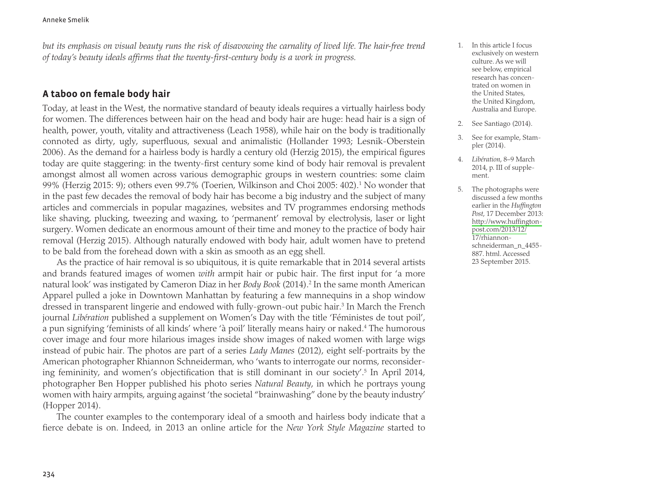*but its emphasis on visual beauty runs the risk of disavowing the carnality of lived life. The hair-free trend of today's beauty ideals affirms that the twenty-first-century body is a work in progress.*

#### **A taboo on female body hair**

Today, at least in the West, the normative standard of beauty ideals requires a virtually hairless body for women. The differences between hair on the head and body hair are huge: head hair is a sign of health, power, youth, vitality and attractiveness (Leach 1958), while hair on the body is traditionally connoted as dirty, ugly, superfluous, sexual and animalistic (Hollander 1993; Lesnik-Oberstein 2006). As the demand for a hairless body is hardly a century old (Herzig 2015), the empirical figures today are quite staggering: in the twenty-first century some kind of body hair removal is prevalent amongst almost all women across various demographic groups in western countries: some claim 99% (Herzig 2015: 9); others even 99.7% (Toerien, Wilkinson and Choi 2005: 402).1 No wonder that in the past few decades the removal of body hair has become a big industry and the subject of many articles and commercials in popular magazines, websites and TV programmes endorsing methods like shaving, plucking, tweezing and waxing, to 'permanent' removal by electrolysis, laser or light surgery. Women dedicate an enormous amount of their time and money to the practice of body hair removal (Herzig 2015). Although naturally endowed with body hair, adult women have to pretend to be bald from the forehead down with a skin as smooth as an egg shell.

As the practice of hair removal is so ubiquitous, it is quite remarkable that in 2014 several artists and brands featured images of women *with* armpit hair or pubic hair. The first input for 'a more natural look' was instigated by Cameron Diaz in her *Body Book* (2014).2 In the same month American Apparel pulled a joke in Downtown Manhattan by featuring a few mannequins in a shop window dressed in transparent lingerie and endowed with fully-grown-out pubic hair.<sup>3</sup> In March the French journal *Libération* published a supplement on Women's Day with the title 'Féministes de tout poil', a pun signifying 'feminists of all kinds' where 'à poil' literally means hairy or naked.4 The humorous cover image and four more hilarious images inside show images of naked women with large wigs instead of pubic hair. The photos are part of a series *Lady Manes* (2012), eight self-portraits by the American photographer Rhiannon Schneiderman, who 'wants to interrogate our norms, reconsidering femininity, and women's objectification that is still dominant in our society'.<sup>5</sup> In April 2014, photographer Ben Hopper published his photo series *Natural Beauty*, in which he portrays young women with hairy armpits, arguing against 'the societal "brainwashing" done by the beauty industry' (Hopper 2014).

The counter examples to the contemporary ideal of a smooth and hairless body indicate that a fierce debate is on. Indeed, in 2013 an online article for the *New York Style Magazine* started to

- 1. In this article I focus exclusively on western culture. As we will see below, empirical research has concentrated on women in the United States, the United Kingdom, Australia and Europe.
- 2. See Santiago (2014).
- 3. See for example, Stampler (2014).
- 4. *Libération*, 8–9 March 2014, p. III of supplement.
- 5. The photographs were discussed a few months earlier in the *Huffington Post*, 17 December 2013: [http://www.hu](http://www.huffington-post.com/2013/12/)ffington[post.com](http://www.huffington-post.com/2013/12/)/2013/12/ 17/rhiannonschneiderman\_n\_4455- 887. html. Accessed 23 September 2015.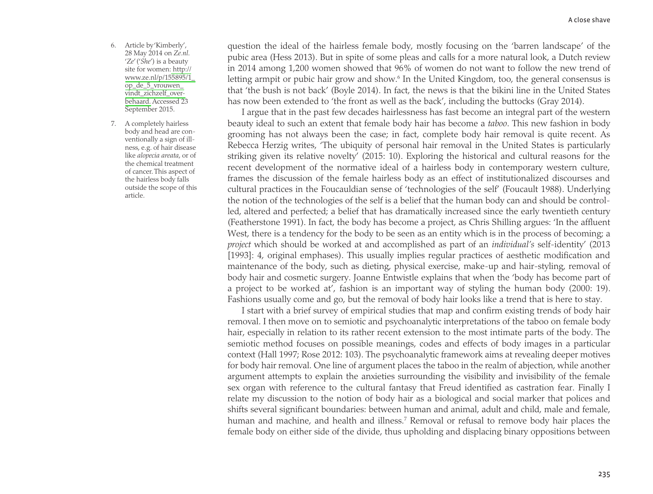- 6. Article by 'Kimberly', 28 May 2014 on *Ze.nl*. '*Ze*' ('*She*') is a beauty site f[or wom](http://www.ze.nl/p/155895/1_op_de_5_vrouwen_vindt_zichzelf_overbehaard)en: http:// [www.ze.nl/p/1](http://www.ze.nl/p/155895/1_op_de_5_vrouwen_vindt_zichzelf_overbehaard)55895/1\_ [op\\_de\\_5\\_v](http://www.ze.nl/p/155895/1_op_de_5_vrouwen_vindt_zichzelf_overbehaard)rouwen\_ [vindt\\_zich](http://www.ze.nl/p/155895/1_op_de_5_vrouwen_vindt_zichzelf_overbehaard)zelf\_overbehaard. Accessed 23 September 2015.
- 7. A completely hairless body and head are conventionally a sign of illness, e.g. of hair disease like *alopecia areata*, or of the chemical treatment of cancer. This aspect of the hairless body falls outside the scope of this article.

question the ideal of the hairless female body, mostly focusing on the 'barren landscape' of the pubic area (Hess 2013). But in spite of some pleas and calls for a more natural look, a Dutch review in 2014 among 1,200 women showed that 96% of women do not want to follow the new trend of letting armpit or pubic hair grow and show.<sup>6</sup> In the United Kingdom, too, the general consensus is that 'the bush is not back' (Boyle 2014). In fact, the news is that the bikini line in the United States has now been extended to 'the front as well as the back', including the buttocks (Gray 2014).

I argue that in the past few decades hairlessness has fast become an integral part of the western beauty ideal to such an extent that female body hair has become a *taboo*. This new fashion in body grooming has not always been the case; in fact, complete body hair removal is quite recent. As Rebecca Herzig writes, 'The ubiquity of personal hair removal in the United States is particularly striking given its relative novelty' (2015: 10). Exploring the historical and cultural reasons for the recent development of the normative ideal of a hairless body in contemporary western culture, frames the discussion of the female hairless body as an effect of institutionalized discourses and cultural practices in the Foucauldian sense of 'technologies of the self' (Foucault 1988). Underlying the notion of the technologies of the self is a belief that the human body can and should be controlled, altered and perfected; a belief that has dramatically increased since the early twentieth century (Featherstone 1991). In fact, the body has become a project, as Chris Shilling argues: 'In the affluent West, there is a tendency for the body to be seen as an entity which is in the process of becoming; a *project* which should be worked at and accomplished as part of an *individual's* self-identity' (2013 [1993]: 4, original emphases). This usually implies regular practices of aesthetic modification and maintenance of the body, such as dieting, physical exercise, make-up and hair-styling, removal of body hair and cosmetic surgery. Joanne Entwistle explains that when the 'body has become part of a project to be worked at', fashion is an important way of styling the human body (2000: 19). Fashions usually come and go, but the removal of body hair looks like a trend that is here to stay.

I start with a brief survey of empirical studies that map and confirm existing trends of body hair removal. I then move on to semiotic and psychoanalytic interpretations of the taboo on female body hair, especially in relation to its rather recent extension to the most intimate parts of the body. The semiotic method focuses on possible meanings, codes and effects of body images in a particular context (Hall 1997; Rose 2012: 103). The psychoanalytic framework aims at revealing deeper motives for body hair removal. One line of argument places the taboo in the realm of abjection, while another argument attempts to explain the anxieties surrounding the visibility and invisibility of the female sex organ with reference to the cultural fantasy that Freud identified as castration fear. Finally I relate my discussion to the notion of body hair as a biological and social marker that polices and shifts several significant boundaries: between human and animal, adult and child, male and female, human and machine, and health and illness.7 Removal or refusal to remove body hair places the female body on either side of the divide, thus upholding and displacing binary oppositions between

↔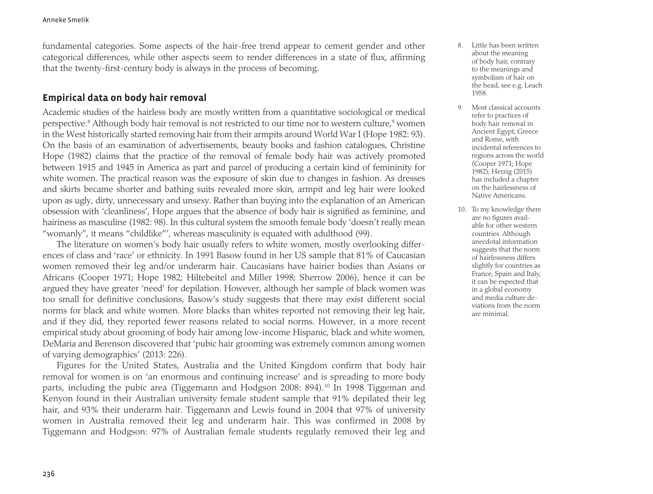fundamental categories. Some aspects of the hair-free trend appear to cement gender and other categorical differences, while other aspects seem to render differences in a state of flux, affirming that the twenty-first-century body is always in the process of becoming.

#### **Empirical data on body hair removal**

Academic studies of the hairless body are mostly written from a quantitative sociological or medical perspective.8 Although body hair removal is not restricted to our time nor to western culture,9 women in the West historically started removing hair from their armpits around World War I (Hope 1982: 93). On the basis of an examination of advertisements, beauty books and fashion catalogues, Christine Hope (1982) claims that the practice of the removal of female body hair was actively promoted between 1915 and 1945 in America as part and parcel of producing a certain kind of femininity for white women. The practical reason was the exposure of skin due to changes in fashion. As dresses and skirts became shorter and bathing suits revealed more skin, armpit and leg hair were looked upon as ugly, dirty, unnecessary and unsexy. Rather than buying into the explanation of an American obsession with 'cleanliness', Hope argues that the absence of body hair is signified as feminine, and hairiness as masculine (1982: 98). In this cultural system the smooth female body 'doesn't really mean "womanly", it means "childlike"', whereas masculinity is equated with adulthood (99).

The literature on women's body hair usually refers to white women, mostly overlooking differences of class and 'race' or ethnicity. In 1991 Basow found in her US sample that 81% of Caucasian women removed their leg and/or underarm hair. Caucasians have hairier bodies than Asians or Africans (Cooper 1971; Hope 1982; Hiltebeitel and Miller 1998; Sherrow 2006), hence it can be argued they have greater 'need' for depilation. However, although her sample of black women was too small for definitive conclusions, Basow's study suggests that there may exist different social norms for black and white women. More blacks than whites reported not removing their leg hair, and if they did, they reported fewer reasons related to social norms. However, in a more recent empirical study about grooming of body hair among low-income Hispanic, black and white women, DeMaria and Berenson discovered that 'pubic hair grooming was extremely common among women of varying demographics' (2013: 226).

Figures for the United States, Australia and the United Kingdom confirm that body hair removal for women is on 'an enormous and continuing increase' and is spreading to more body parts, including the pubic area (Tiggemann and Hodgson 2008: 894).<sup>10</sup> In 1998 Tiggeman and Kenyon found in their Australian university female student sample that 91% depilated their leg hair, and 93% their underarm hair. Tiggemann and Lewis found in 2004 that 97% of university women in Australia removed their leg and underarm hair. This was confirmed in 2008 by Tiggemann and Hodgson: 97% of Australian female students regularly removed their leg and

- 8. Little has been written about the meaning of body hair, contrary to the meanings and symbolism of hair on the head, see e.g. Leach 1958.
- 9. Most classical accounts refer to practices of body hair removal in Ancient Egypt, Greece and Rome, with incidental references to regions across the world (Cooper 1971; Hope 1982); Herzig (2015) has included a chapter on the hairlessness of Native Americans.
- 10. To my knowledge there are no figures available for other western countries. Although anecdotal information suggests that the norm of hairlessness differs slightly for countries as France, Spain and Italy, it can be expected that in a global economy and media culture deviations from the norm are minimal.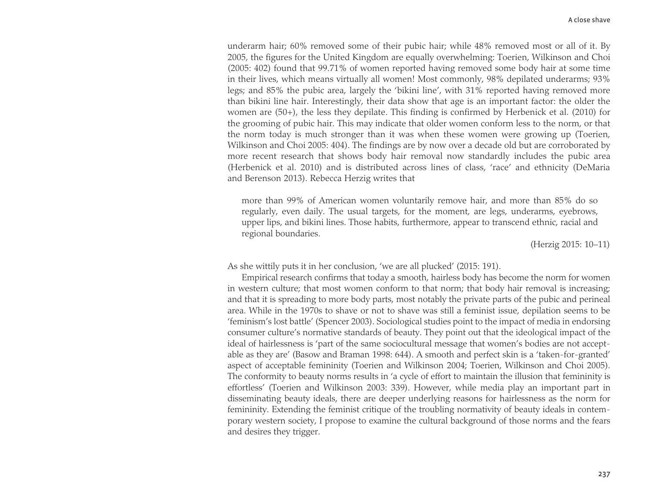underarm hair; 60% removed some of their pubic hair; while 48% removed most or all of it. By 2005, the figures for the United Kingdom are equally overwhelming: Toerien, Wilkinson and Choi (2005: 402) found that 99.71% of women reported having removed some body hair at some time in their lives, which means virtually all women! Most commonly, 98% depilated underarms; 93% legs; and 85% the pubic area, largely the 'bikini line', with 31% reported having removed more than bikini line hair. Interestingly, their data show that age is an important factor: the older the women are (50+), the less they depilate. This finding is confirmed by Herbenick et al. (2010) for the grooming of pubic hair. This may indicate that older women conform less to the norm, or that the norm today is much stronger than it was when these women were growing up (Toerien, Wilkinson and Choi 2005: 404). The findings are by now over a decade old but are corroborated by more recent research that shows body hair removal now standardly includes the pubic area (Herbenick et al. 2010) and is distributed across lines of class, 'race' and ethnicity (DeMaria and Berenson 2013). Rebecca Herzig writes that

more than 99% of American women voluntarily remove hair, and more than 85% do so regularly, even daily. The usual targets, for the moment, are legs, underarms, eyebrows, upper lips, and bikini lines. Those habits, furthermore, appear to transcend ethnic, racial and regional boundaries.

(Herzig 2015: 10–11)

As she wittily puts it in her conclusion, 'we are all plucked' (2015: 191).

Empirical research confirms that today a smooth, hairless body has become the norm for women in western culture; that most women conform to that norm; that body hair removal is increasing; and that it is spreading to more body parts, most notably the private parts of the pubic and perineal area. While in the 1970s to shave or not to shave was still a feminist issue, depilation seems to be 'feminism's lost battle' (Spencer 2003). Sociological studies point to the impact of media in endorsing consumer culture's normative standards of beauty. They point out that the ideological impact of the ideal of hairlessness is 'part of the same sociocultural message that women's bodies are not acceptable as they are' (Basow and Braman 1998: 644). A smooth and perfect skin is a 'taken-for-granted' aspect of acceptable femininity (Toerien and Wilkinson 2004; Toerien, Wilkinson and Choi 2005). The conformity to beauty norms results in 'a cycle of effort to maintain the illusion that femininity is effortless' (Toerien and Wilkinson 2003: 339). However, while media play an important part in disseminating beauty ideals, there are deeper underlying reasons for hairlessness as the norm for femininity. Extending the feminist critique of the troubling normativity of beauty ideals in contemporary western society, I propose to examine the cultural background of those norms and the fears and desires they trigger.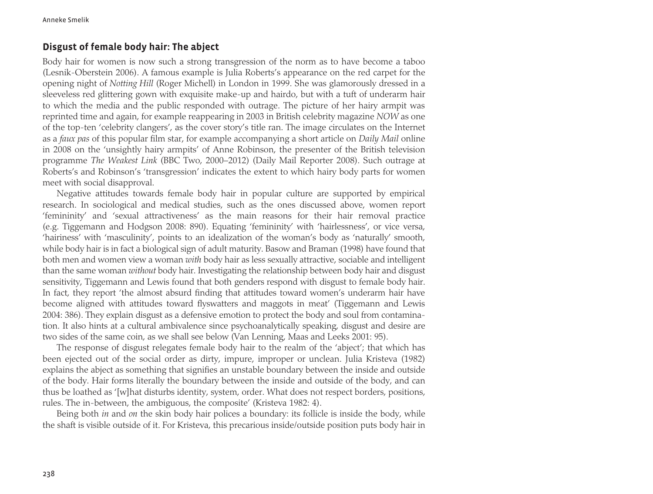#### **Disgust of female body hair: The abject**

Body hair for women is now such a strong transgression of the norm as to have become a taboo (Lesnik-Oberstein 2006). A famous example is Julia Roberts's appearance on the red carpet for the opening night of *Notting Hill* (Roger Michell) in London in 1999. She was glamorously dressed in a sleeveless red glittering gown with exquisite make-up and hairdo, but with a tuft of underarm hair to which the media and the public responded with outrage. The picture of her hairy armpit was reprinted time and again, for example reappearing in 2003 in British celebrity magazine *NOW* as one of the top-ten 'celebrity clangers', as the cover story's title ran. The image circulates on the Internet as a *faux pas* of this popular film star, for example accompanying a short article on *Daily Mail* online in 2008 on the 'unsightly hairy armpits' of Anne Robinson, the presenter of the British television programme *The Weakest Link* (BBC Two, 2000–2012) (Daily Mail Reporter 2008). Such outrage at Roberts's and Robinson's 'transgression' indicates the extent to which hairy body parts for women meet with social disapproval.

Negative attitudes towards female body hair in popular culture are supported by empirical research. In sociological and medical studies, such as the ones discussed above, women report 'femininity' and 'sexual attractiveness' as the main reasons for their hair removal practice (e.g. Tiggemann and Hodgson 2008: 890). Equating 'femininity' with 'hairlessness', or vice versa, 'hairiness' with 'masculinity', points to an idealization of the woman's body as 'naturally' smooth, while body hair is in fact a biological sign of adult maturity. Basow and Braman (1998) have found that both men and women view a woman *with* body hair as less sexually attractive, sociable and intelligent than the same woman *without* body hair. Investigating the relationship between body hair and disgust sensitivity, Tiggemann and Lewis found that both genders respond with disgust to female body hair. In fact, they report 'the almost absurd finding that attitudes toward women's underarm hair have become aligned with attitudes toward flyswatters and maggots in meat' (Tiggemann and Lewis 2004: 386). They explain disgust as a defensive emotion to protect the body and soul from contamination. It also hints at a cultural ambivalence since psychoanalytically speaking, disgust and desire are two sides of the same coin, as we shall see below (Van Lenning, Maas and Leeks 2001: 95).

The response of disgust relegates female body hair to the realm of the 'abject'; that which has been ejected out of the social order as dirty, impure, improper or unclean. Julia Kristeva (1982) explains the abject as something that signifies an unstable boundary between the inside and outside of the body. Hair forms literally the boundary between the inside and outside of the body, and can thus be loathed as '[w]hat disturbs identity, system, order. What does not respect borders, positions, rules. The in-between, the ambiguous, the composite' (Kristeva 1982: 4).

Being both *in* and *on* the skin body hair polices a boundary: its follicle is inside the body, while the shaft is visible outside of it. For Kristeva, this precarious inside/outside position puts body hair in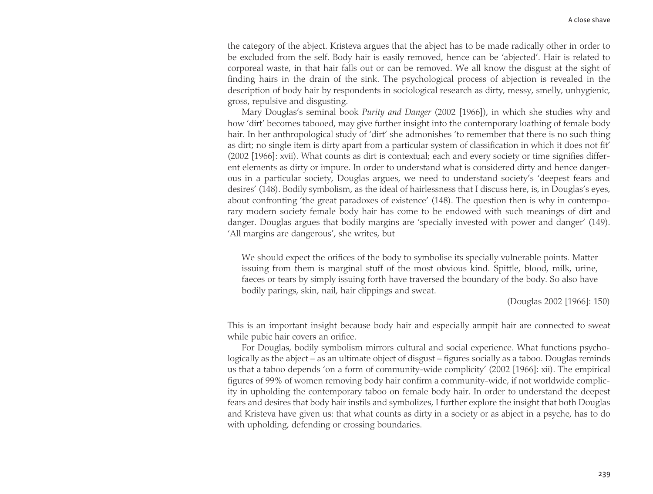the category of the abject. Kristeva argues that the abject has to be made radically other in order to be excluded from the self. Body hair is easily removed, hence can be 'abjected'. Hair is related to corporeal waste, in that hair falls out or can be removed. We all know the disgust at the sight of finding hairs in the drain of the sink. The psychological process of abjection is revealed in the description of body hair by respondents in sociological research as dirty, messy, smelly, unhygienic, gross, repulsive and disgusting.

Mary Douglas's seminal book *Purity and Danger* (2002 [1966]), in which she studies why and how 'dirt' becomes tabooed, may give further insight into the contemporary loathing of female body hair. In her anthropological study of 'dirt' she admonishes 'to remember that there is no such thing as dirt; no single item is dirty apart from a particular system of classification in which it does not fit' (2002 [1966]: xvii). What counts as dirt is contextual; each and every society or time signifies different elements as dirty or impure. In order to understand what is considered dirty and hence dangerous in a particular society, Douglas argues, we need to understand society's 'deepest fears and desires' (148). Bodily symbolism, as the ideal of hairlessness that I discuss here, is, in Douglas's eyes, about confronting 'the great paradoxes of existence' (148). The question then is why in contemporary modern society female body hair has come to be endowed with such meanings of dirt and danger. Douglas argues that bodily margins are 'specially invested with power and danger' (149). 'All margins are dangerous', she writes, but

We should expect the orifices of the body to symbolise its specially vulnerable points. Matter issuing from them is marginal stuff of the most obvious kind. Spittle, blood, milk, urine, faeces or tears by simply issuing forth have traversed the boundary of the body. So also have bodily parings, skin, nail, hair clippings and sweat.

(Douglas 2002 [1966]: 150)

This is an important insight because body hair and especially armpit hair are connected to sweat while pubic hair covers an orifice.

For Douglas, bodily symbolism mirrors cultural and social experience. What functions psychologically as the abject – as an ultimate object of disgust – figures socially as a taboo. Douglas reminds us that a taboo depends 'on a form of community-wide complicity' (2002 [1966]: xii). The empirical figures of 99% of women removing body hair confirm a community-wide, if not worldwide complicity in upholding the contemporary taboo on female body hair. In order to understand the deepest fears and desires that body hair instils and symbolizes, I further explore the insight that both Douglas and Kristeva have given us: that what counts as dirty in a society or as abject in a psyche, has to do with upholding, defending or crossing boundaries.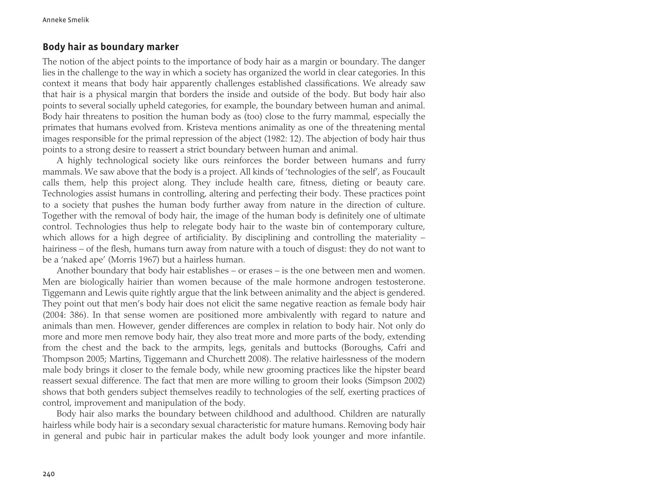#### **Body hair as boundary marker**

The notion of the abject points to the importance of body hair as a margin or boundary. The danger lies in the challenge to the way in which a society has organized the world in clear categories. In this context it means that body hair apparently challenges established classifications. We already saw that hair is a physical margin that borders the inside and outside of the body. But body hair also points to several socially upheld categories, for example, the boundary between human and animal. Body hair threatens to position the human body as (too) close to the furry mammal, especially the primates that humans evolved from. Kristeva mentions animality as one of the threatening mental images responsible for the primal repression of the abject (1982: 12). The abjection of body hair thus points to a strong desire to reassert a strict boundary between human and animal.

A highly technological society like ours reinforces the border between humans and furry mammals. We saw above that the body is a project. All kinds of 'technologies of the self', as Foucault calls them, help this project along. They include health care, fitness, dieting or beauty care. Technologies assist humans in controlling, altering and perfecting their body. These practices point to a society that pushes the human body further away from nature in the direction of culture. Together with the removal of body hair, the image of the human body is definitely one of ultimate control. Technologies thus help to relegate body hair to the waste bin of contemporary culture, which allows for a high degree of artificiality. By disciplining and controlling the materiality – hairiness – of the flesh, humans turn away from nature with a touch of disgust: they do not want to be a 'naked ape' (Morris 1967) but a hairless human.

Another boundary that body hair establishes – or erases – is the one between men and women. Men are biologically hairier than women because of the male hormone androgen testosterone. Tiggemann and Lewis quite rightly argue that the link between animality and the abject is gendered. They point out that men's body hair does not elicit the same negative reaction as female body hair (2004: 386). In that sense women are positioned more ambivalently with regard to nature and animals than men. However, gender differences are complex in relation to body hair. Not only do more and more men remove body hair, they also treat more and more parts of the body, extending from the chest and the back to the armpits, legs, genitals and buttocks (Boroughs, Cafri and Thompson 2005; Martins, Tiggemann and Churchett 2008). The relative hairlessness of the modern male body brings it closer to the female body, while new grooming practices like the hipster beard reassert sexual difference. The fact that men are more willing to groom their looks (Simpson 2002) shows that both genders subject themselves readily to technologies of the self, exerting practices of control, improvement and manipulation of the body.

Body hair also marks the boundary between childhood and adulthood. Children are naturally hairless while body hair is a secondary sexual characteristic for mature humans. Removing body hair in general and pubic hair in particular makes the adult body look younger and more infantile.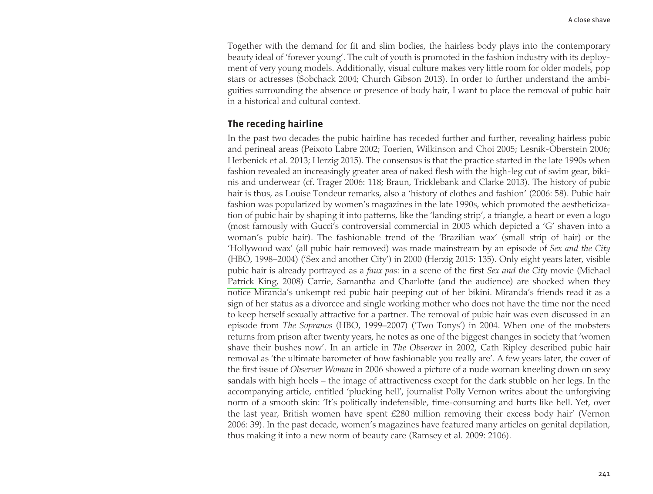Together with the demand for fit and slim bodies, the hairless body plays into the contemporary beauty ideal of 'forever young'. The cult of youth is promoted in the fashion industry with its deployment of very young models. Additionally, visual culture makes very little room for older models, pop stars or actresses (Sobchack 2004; Church Gibson 2013). In order to further understand the ambiguities surrounding the absence or presence of body hair, I want to place the removal of pubic hair in a historical and cultural context.

#### **The receding hairline**

In the past two decades the pubic hairline has receded further and further, revealing hairless pubic and perineal areas (Peixoto Labre 2002; Toerien, Wilkinson and Choi 2005; Lesnik-Oberstein 2006; Herbenick et al. 2013; Herzig 2015). The consensus is that the practice started in the late 1990s when fashion revealed an increasingly greater area of naked flesh with the high-leg cut of swim gear, bikinis and underwear (cf. Trager 2006: 118; Braun, Tricklebank and Clarke 2013). The history of pubic hair is thus, as Louise Tondeur remarks, also a 'history of clothes and fashion' (2006: 58). Pubic hair fashion was popularized by women's magazines in the late 1990s, which promoted the aestheticization of pubic hair by shaping it into patterns, like the 'landing strip', a triangle, a heart or even a logo (most famously with Gucci's controversial commercial in 2003 which depicted a 'G' shaven into a woman's pubic hair). The fashionable trend of the 'Brazilian wax' (small strip of hair) or the 'Hollywood wax' (all pubic hair removed) was made mainstream by an episode of *Sex and the City* (HBO, 1998–2004) ('Sex and another City') in 2000 (Herzig 2015: 135). Only eight years later, visible pubic hair is already portrayed as a *faux pas*: in a scene of the first *Sex and the City* [movie \(M](https://en.wikipedia.org/wiki/Michael_Patrick_King)ichael [Patric](https://en.wikipedia.org/wiki/Michael_Patrick_King)k King, 2008) Carrie, Samantha and Charlotte (and the audience) are shocked when they notice Miranda's unkempt red pubic hair peeping out of her bikini. Miranda's friends read it as a sign of her status as a divorcee and single working mother who does not have the time nor the need to keep herself sexually attractive for a partner. The removal of pubic hair was even discussed in an episode from *The Sopranos* (HBO, 1999–2007) ('Two Tonys') in 2004. When one of the mobsters returns from prison after twenty years, he notes as one of the biggest changes in society that 'women shave their bushes now'. In an article in *The Observer* in 2002, Cath Ripley described pubic hair removal as 'the ultimate barometer of how fashionable you really are'. A few years later, the cover of the first issue of *Observer Woman* in 2006 showed a picture of a nude woman kneeling down on sexy sandals with high heels – the image of attractiveness except for the dark stubble on her legs. In the accompanying article, entitled 'plucking hell', journalist Polly Vernon writes about the unforgiving norm of a smooth skin: 'It's politically indefensible, time-consuming and hurts like hell. Yet, over the last year, British women have spent £280 million removing their excess body hair' (Vernon 2006: 39). In the past decade, women's magazines have featured many articles on genital depilation, thus making it into a new norm of beauty care (Ramsey et al. 2009: 2106).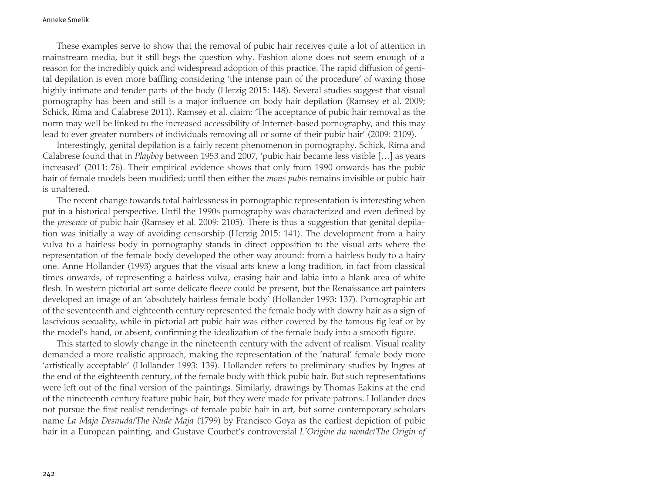These examples serve to show that the removal of pubic hair receives quite a lot of attention in mainstream media, but it still begs the question why. Fashion alone does not seem enough of a reason for the incredibly quick and widespread adoption of this practice. The rapid diffusion of genital depilation is even more baffling considering 'the intense pain of the procedure' of waxing those highly intimate and tender parts of the body (Herzig 2015: 148). Several studies suggest that visual pornography has been and still is a major influence on body hair depilation (Ramsey et al. 2009; Schick, Rima and Calabrese 2011). Ramsey et al. claim: 'The acceptance of pubic hair removal as the norm may well be linked to the increased accessibility of Internet-based pornography, and this may lead to ever greater numbers of individuals removing all or some of their pubic hair' (2009: 2109).

Interestingly, genital depilation is a fairly recent phenomenon in pornography. Schick, Rima and Calabrese found that in *Playboy* between 1953 and 2007, 'pubic hair became less visible […] as years increased' (2011: 76). Their empirical evidence shows that only from 1990 onwards has the pubic hair of female models been modified; until then either the *mons pubis* remains invisible or pubic hair is unaltered.

The recent change towards total hairlessness in pornographic representation is interesting when put in a historical perspective. Until the 1990s pornography was characterized and even defined by the *presence* of pubic hair (Ramsey et al. 2009: 2105). There is thus a suggestion that genital depilation was initially a way of avoiding censorship (Herzig 2015: 141). The development from a hairy vulva to a hairless body in pornography stands in direct opposition to the visual arts where the representation of the female body developed the other way around: from a hairless body to a hairy one. Anne Hollander (1993) argues that the visual arts knew a long tradition, in fact from classical times onwards, of representing a hairless vulva, erasing hair and labia into a blank area of white flesh. In western pictorial art some delicate fleece could be present, but the Renaissance art painters developed an image of an 'absolutely hairless female body' (Hollander 1993: 137). Pornographic art of the seventeenth and eighteenth century represented the female body with downy hair as a sign of lascivious sexuality, while in pictorial art pubic hair was either covered by the famous fig leaf or by the model's hand, or absent, confirming the idealization of the female body into a smooth figure.

This started to slowly change in the nineteenth century with the advent of realism. Visual reality demanded a more realistic approach, making the representation of the 'natural' female body more 'artistically acceptable' (Hollander 1993: 139). Hollander refers to preliminary studies by Ingres at the end of the eighteenth century, of the female body with thick pubic hair. But such representations were left out of the final version of the paintings. Similarly, drawings by Thomas Eakins at the end of the nineteenth century feature pubic hair, but they were made for private patrons. Hollander does not pursue the first realist renderings of female pubic hair in art, but some contemporary scholars name *La Maja Desnuda*/*The Nude Maja* (1799) by Francisco Goya as the earliest depiction of pubic hair in a European painting, and Gustave Courbet's controversial *L'Origine du monde*/*The Origin of*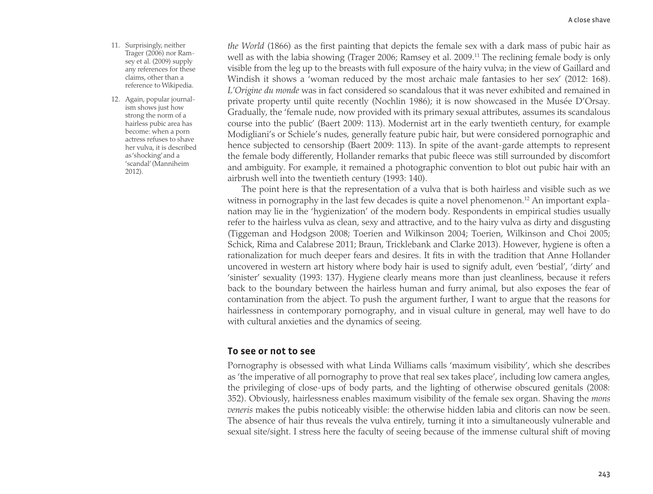- 11. Surprisingly, neither Trager (2006) nor Ramsey et al. (2009) supply any references for these claims, other than a reference to Wikipedia.
- 12. Again, popular journalism shows just how strong the norm of a hairless pubic area has become: when a porn actress refuses to shave her vulva, it is described as 'shocking' and a 'scandal' (Manniheim 2012).

*the World* (1866) as the first painting that depicts the female sex with a dark mass of pubic hair as well as with the labia showing (Trager 2006; Ramsey et al. 2009.<sup>11</sup> The reclining female body is only visible from the leg up to the breasts with full exposure of the hairy vulva; in the view of Gaillard and Windish it shows a 'woman reduced by the most archaic male fantasies to her sex' (2012: 168). *L'Origine du monde* was in fact considered so scandalous that it was never exhibited and remained in private property until quite recently (Nochlin 1986); it is now showcased in the Musée D'Orsay. Gradually, the 'female nude, now provided with its primary sexual attributes, assumes its scandalous course into the public' (Baert 2009: 113). Modernist art in the early twentieth century, for example Modigliani's or Schiele's nudes, generally feature pubic hair, but were considered pornographic and hence subjected to censorship (Baert 2009: 113). In spite of the avant-garde attempts to represent the female body differently, Hollander remarks that pubic fleece was still surrounded by discomfort and ambiguity. For example, it remained a photographic convention to blot out pubic hair with an airbrush well into the twentieth century (1993: 140).

The point here is that the representation of a vulva that is both hairless and visible such as we witness in pornography in the last few decades is quite a novel phenomenon.<sup>12</sup> An important explanation may lie in the 'hygienization' of the modern body. Respondents in empirical studies usually refer to the hairless vulva as clean, sexy and attractive, and to the hairy vulva as dirty and disgusting (Tiggeman and Hodgson 2008; Toerien and Wilkinson 2004; Toerien, Wilkinson and Choi 2005; Schick, Rima and Calabrese 2011; Braun, Tricklebank and Clarke 2013). However, hygiene is often a rationalization for much deeper fears and desires. It fits in with the tradition that Anne Hollander uncovered in western art history where body hair is used to signify adult, even 'bestial', 'dirty' and 'sinister' sexuality (1993: 137). Hygiene clearly means more than just cleanliness, because it refers back to the boundary between the hairless human and furry animal, but also exposes the fear of contamination from the abject. To push the argument further, I want to argue that the reasons for hairlessness in contemporary pornography, and in visual culture in general, may well have to do with cultural anxieties and the dynamics of seeing.

#### **To see or not to see**

Pornography is obsessed with what Linda Williams calls 'maximum visibility', which she describes as 'the imperative of all pornography to prove that real sex takes place', including low camera angles, the privileging of close-ups of body parts, and the lighting of otherwise obscured genitals (2008: 352). Obviously, hairlessness enables maximum visibility of the female sex organ. Shaving the *mons veneris* makes the pubis noticeably visible: the otherwise hidden labia and clitoris can now be seen. The absence of hair thus reveals the vulva entirely, turning it into a simultaneously vulnerable and sexual site/sight. I stress here the faculty of seeing because of the immense cultural shift of moving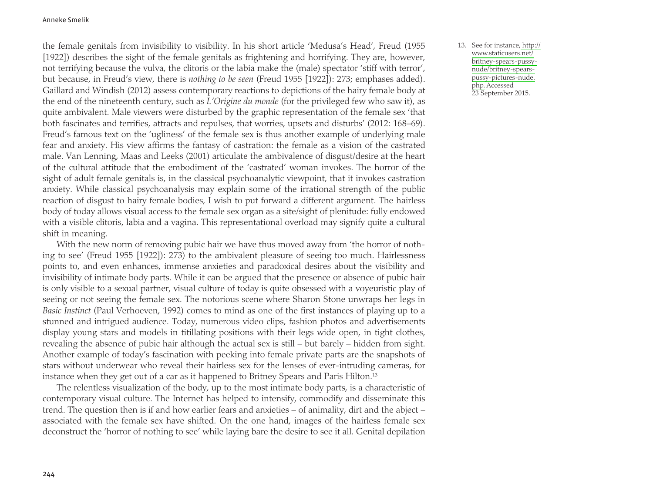the female genitals from invisibility to visibility. In his short article 'Medusa's Head', Freud (1955 [1922]) describes the sight of the female genitals as frightening and horrifying. They are, however, not terrifying because the vulva, the clitoris or the labia make the (male) spectator 'stiff with terror', but because, in Freud's view, there is *nothing to be seen* (Freud 1955 [1922]): 273; emphases added). Gaillard and Windish (2012) assess contemporary reactions to depictions of the hairy female body at the end of the nineteenth century, such as *L'Origine du monde* (for the privileged few who saw it), as quite ambivalent. Male viewers were disturbed by the graphic representation of the female sex 'that both fascinates and terrifies, attracts and repulses, that worries, upsets and disturbs' (2012: 168–69). Freud's famous text on the 'ugliness' of the female sex is thus another example of underlying male fear and anxiety. His view affirms the fantasy of castration: the female as a vision of the castrated male. Van Lenning, Maas and Leeks (2001) articulate the ambivalence of disgust/desire at the heart of the cultural attitude that the embodiment of the 'castrated' woman invokes. The horror of the sight of adult female genitals is, in the classical psychoanalytic viewpoint, that it invokes castration anxiety. While classical psychoanalysis may explain some of the irrational strength of the public reaction of disgust to hairy female bodies, I wish to put forward a different argument. The hairless body of today allows visual access to the female sex organ as a site/sight of plenitude: fully endowed with a visible clitoris, labia and a vagina. This representational overload may signify quite a cultural shift in meaning.

With the new norm of removing pubic hair we have thus moved away from 'the horror of nothing to see' (Freud 1955 [1922]): 273) to the ambivalent pleasure of seeing too much. Hairlessness points to, and even enhances, immense anxieties and paradoxical desires about the visibility and invisibility of intimate body parts. While it can be argued that the presence or absence of pubic hair is only visible to a sexual partner, visual culture of today is quite obsessed with a voyeuristic play of seeing or not seeing the female sex. The notorious scene where Sharon Stone unwraps her legs in *Basic Instinct* (Paul Verhoeven, 1992) comes to mind as one of the first instances of playing up to a stunned and intrigued audience. Today, numerous video clips, fashion photos and advertisements display young stars and models in titillating positions with their legs wide open, in tight clothes, revealing the absence of pubic hair although the actual sex is still – but barely – hidden from sight. Another example of today's fascination with peeking into female private parts are the snapshots of stars without underwear who reveal their hairless sex for the lenses of ever-intruding cameras, for instance when they get out of a car as it happened to Britney Spears and Paris Hilton.13

The relentless visualization of the body, up to the most intimate body parts, is a characteristic of contemporary visual culture. The Internet has helped to intensify, commodify and disseminate this trend. The question then is if and how earlier fears and anxieties – of animality, dirt and the abject – associated with the female sex have shifted. On the one hand, images of the hairless female sex deconstruct the 'horror of nothing to see' while laying bare the desire to see it all. Genital depilation 13. See fo[r instan](http://www.staticusers.net/britney-spears-pussy-nude/britney-spears-pussy-pictures-nude.php)ce, http:// [www.static](http://www.staticusers.net/britney-spears-pussy-nude/britney-spears-pussy-pictures-nude.php)users.net/ [britney-spea](http://www.staticusers.net/britney-spears-pussy-nude/britney-spears-pussy-pictures-nude.php)rs-pussy[nude/britne](http://www.staticusers.net/britney-spears-pussy-nude/britney-spears-pussy-pictures-nude.php)y-spears[pussy-pictu](http://www.staticusers.net/britney-spears-pussy-nude/britney-spears-pussy-pictures-nude.php)res-nude. php. Accessed 23 September 2015.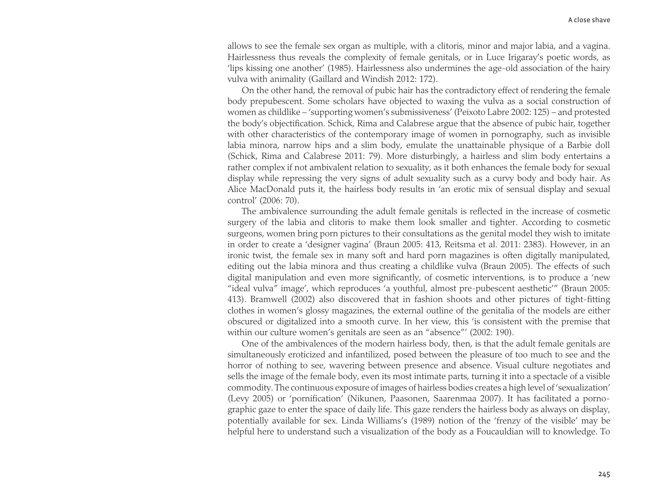allows to see the female sex organ as multiple, with a clitoris, minor and major labia, and a vagina. Hairlessness thus reveals the complexity of female genitals, or in Luce Irigaray's poetic words, as 'lips kissing one another' (1985). Hairlessness also undermines the age-old association of the hairy vulva with animality (Gaillard and Windish 2012: 172).

On the other hand, the removal of pubic hair has the contradictory effect of rendering the female body prepubescent. Some scholars have objected to waxing the vulva as a social construction of women as childlike – 'supporting women's submissiveness' (Peixoto Labre 2002: 125) – and protested the body's objectification. Schick, Rima and Calabrese argue that the absence of pubic hair, together with other characteristics of the contemporary image of women in pornography, such as invisible labia minora, narrow hips and a slim body, emulate the unattainable physique of a Barbie doll (Schick, Rima and Calabrese 2011: 79). More disturbingly, a hairless and slim body entertains a rather complex if not ambivalent relation to sexuality, as it both enhances the female body for sexual display while repressing the very signs of adult sexuality such as a curvy body and body hair. As Alice MacDonald puts it, the hairless body results in 'an erotic mix of sensual display and sexual control' (2006: 70).

The ambivalence surrounding the adult female genitals is reflected in the increase of cosmetic surgery of the labia and clitoris to make them look smaller and tighter. According to cosmetic surgeons, women bring porn pictures to their consultations as the genital model they wish to imitate in order to create a 'designer vagina' (Braun 2005: 413, Reitsma et al. 2011: 2383). However, in an ironic twist, the female sex in many soft and hard porn magazines is often digitally manipulated, editing out the labia minora and thus creating a childlike vulva (Braun 2005). The effects of such digital manipulation and even more significantly, of cosmetic interventions, is to produce a 'new "ideal vulva" image', which reproduces 'a youthful, almost pre-pubescent aesthetic'" (Braun 2005: 413). Bramwell (2002) also discovered that in fashion shoots and other pictures of tight-fitting clothes in women's glossy magazines, the external outline of the genitalia of the models are either obscured or digitalized into a smooth curve. In her view, this 'is consistent with the premise that within our culture women's genitals are seen as an "absence"' (2002: 190).

One of the ambivalences of the modern hairless body, then, is that the adult female genitals are simultaneously eroticized and infantilized, posed between the pleasure of too much to see and the horror of nothing to see, wavering between presence and absence. Visual culture negotiates and sells the image of the female body, even its most intimate parts, turning it into a spectacle of a visible commodity. The continuous exposure of images of hairless bodies creates a high level of 'sexualization' (Levy 2005) or 'pornification' (Nikunen, Paasonen, Saarenmaa 2007). It has facilitated a pornographic gaze to enter the space of daily life. This gaze renders the hairless body as always on display, potentially available for sex. Linda Williams's (1989) notion of the 'frenzy of the visible' may be helpful here to understand such a visualization of the body as a Foucauldian will to knowledge. To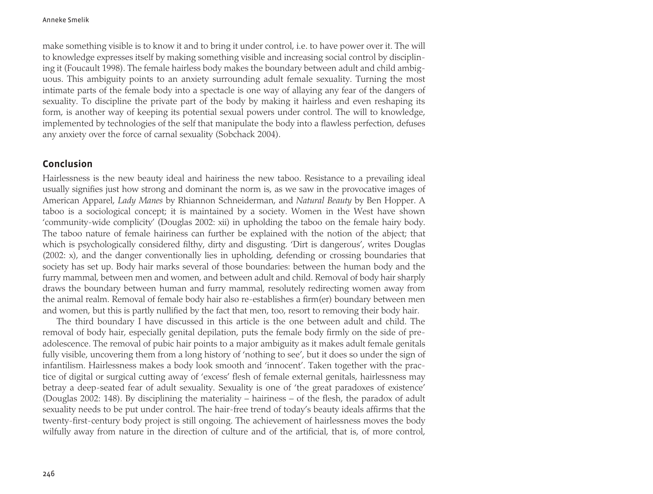make something visible is to know it and to bring it under control, i.e. to have power over it. The will to knowledge expresses itself by making something visible and increasing social control by disciplining it (Foucault 1998). The female hairless body makes the boundary between adult and child ambiguous. This ambiguity points to an anxiety surrounding adult female sexuality. Turning the most intimate parts of the female body into a spectacle is one way of allaying any fear of the dangers of sexuality. To discipline the private part of the body by making it hairless and even reshaping its form, is another way of keeping its potential sexual powers under control. The will to knowledge, implemented by technologies of the self that manipulate the body into a flawless perfection, defuses any anxiety over the force of carnal sexuality (Sobchack 2004).

#### **Conclusion**

Hairlessness is the new beauty ideal and hairiness the new taboo. Resistance to a prevailing ideal usually signifies just how strong and dominant the norm is, as we saw in the provocative images of American Apparel, *Lady Manes* by Rhiannon Schneiderman, and *Natural Beauty* by Ben Hopper. A taboo is a sociological concept; it is maintained by a society. Women in the West have shown 'community-wide complicity' (Douglas 2002: xii) in upholding the taboo on the female hairy body. The taboo nature of female hairiness can further be explained with the notion of the abject; that which is psychologically considered filthy, dirty and disgusting. 'Dirt is dangerous', writes Douglas (2002: x), and the danger conventionally lies in upholding, defending or crossing boundaries that society has set up. Body hair marks several of those boundaries: between the human body and the furry mammal, between men and women, and between adult and child. Removal of body hair sharply draws the boundary between human and furry mammal, resolutely redirecting women away from the animal realm. Removal of female body hair also re-establishes a firm(er) boundary between men and women, but this is partly nullified by the fact that men, too, resort to removing their body hair.

The third boundary I have discussed in this article is the one between adult and child. The removal of body hair, especially genital depilation, puts the female body firmly on the side of preadolescence. The removal of pubic hair points to a major ambiguity as it makes adult female genitals fully visible, uncovering them from a long history of 'nothing to see', but it does so under the sign of infantilism. Hairlessness makes a body look smooth and 'innocent'. Taken together with the practice of digital or surgical cutting away of 'excess' flesh of female external genitals, hairlessness may betray a deep-seated fear of adult sexuality. Sexuality is one of 'the great paradoxes of existence' (Douglas 2002: 148). By disciplining the materiality – hairiness – of the flesh, the paradox of adult sexuality needs to be put under control. The hair-free trend of today's beauty ideals affirms that the twenty-first-century body project is still ongoing. The achievement of hairlessness moves the body wilfully away from nature in the direction of culture and of the artificial, that is, of more control,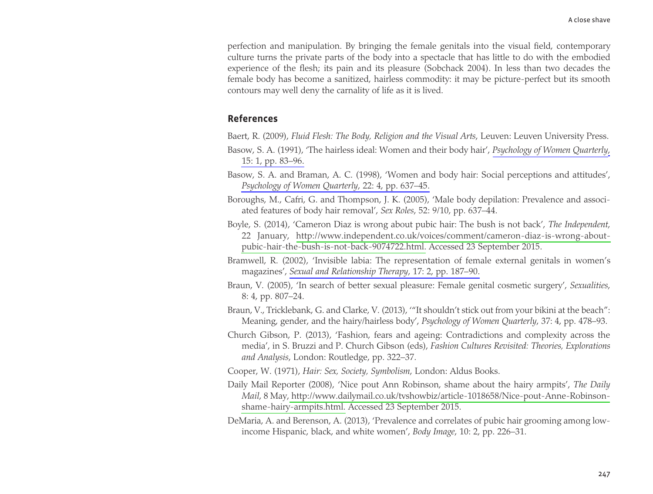perfection and manipulation. By bringing the female genitals into the visual field, contemporary culture turns the private parts of the body into a spectacle that has little to do with the embodied experience of the flesh; its pain and its pleasure (Sobchack 2004). In less than two decades the female body has become a sanitized, hairless commodity: it may be picture-perfect but its smooth contours may well deny the carnality of life as it is lived.

#### **References**

Baert, R. (2009), *Fluid Flesh: The Body, Religion and the Visual Arts*, Leuven: Leuven University Press.

- Basow, S. A. (1991), 'The hairless ideal: Women and their body hair', *[Psychology of Women Qu](http://www.ingentaconnect.com/content/external-references?article=0361-6843()15:1L.83[aid=10699847])arterly*, [15: 1, pp](http://www.ingentaconnect.com/content/external-references?article=0361-6843()15:1L.83[aid=10699847]). 83–96.
- Basow, S. A. and Braman, A. C. (1998), 'Women and body hair: Social perceptions and attitudes', *[Psychology of Women Quarterly](http://www.ingentaconnect.com/content/external-references?article=0361-6843()22:4L.637[aid=10699846])*, 22: 4, pp. 637–45.
- Boroughs, M., Cafri, G. and Thompson, J. K. (2005), 'Male body depilation: Prevalence and associated features of body hair removal', *Sex Roles*, 52: 9/10, pp. 637–44.
- Boyle, S. (2014), 'Cameron Diaz is wrong about pubic hair: The bush is not back', *The Independent*, 22 Ja[nuary, http://www.independent.co.uk/voices/comment/cameron-diaz-is-wrong-](http://www.independent.co.uk/voices/comment/cameron-diaz-is-wrong-about-pubic-hair-the-bush-is-not-back-9074722.html)about[pubic-hair-the-bush-is-not-back-907472](http://www.independent.co.uk/voices/comment/cameron-diaz-is-wrong-about-pubic-hair-the-bush-is-not-back-9074722.html)2.html. Accessed 23 September 2015.
- Bramwell, R. (2002), 'Invisible labia: The representation of female external genitals in women's magazines', *[Sexual and Relationship Therapy](http://www.ingentaconnect.com/content/external-references?article=1468-1994()17:2L.187[aid=10699845])*, 17: 2, pp. 187–90.
- Braun, V. (2005), 'In search of better sexual pleasure: Female genital cosmetic surgery', *Sexualities*, 8: 4, pp. 807–24.
- Braun, V., Tricklebank, G. and Clarke, V. (2013), '"It shouldn't stick out from your bikini at the beach": Meaning, gender, and the hairy/hairless body', *Psychology of Women Quarterly*, 37: 4, pp. 478–93.
- Church Gibson, P. (2013), 'Fashion, fears and ageing: Contradictions and complexity across the media', in S. Bruzzi and P. Church Gibson (eds), *Fashion Cultures Revisited: Theories, Explorations and Analysis*, London: Routledge, pp. 322–37.
- Cooper, W. (1971), *Hair: Sex, Society, Symbolism*, London: Aldus Books.
- Daily Mail Reporter (2008), 'Nice pout Ann Robinson, shame about the hairy armpits', *The Daily Mail*[, 8 May, http://www.dailymail.co.uk/tvshowbiz/article-1018658/Nice-pout-Anne-Ro](http://www.dailymail.co.uk/tvshowbiz/article-1018658/Nice-pout-Anne-Robinson-shame-hairy-armpits.html)binson[shame-hairy-armpi](http://www.dailymail.co.uk/tvshowbiz/article-1018658/Nice-pout-Anne-Robinson-shame-hairy-armpits.html)ts.html. Accessed 23 September 2015.
- DeMaria, A. and Berenson, A. (2013), 'Prevalence and correlates of pubic hair grooming among lowincome Hispanic, black, and white women', *Body Image*, 10: 2, pp. 226–31.

↔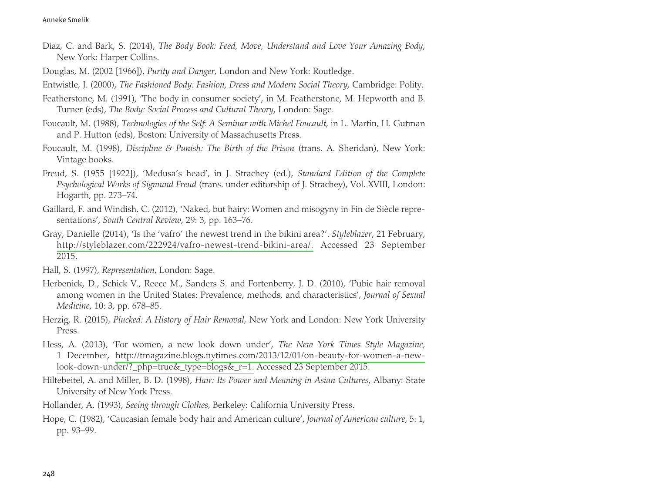- Diaz, C. and Bark, S. (2014), *The Body Book: Feed, Move, Understand and Love Your Amazing Body*, New York: Harper Collins.
- Douglas, M. (2002 [1966]), *Purity and Danger*, London and New York: Routledge.
- Entwistle, J. (2000), *The Fashioned Body: Fashion, Dress and Modern Social Theory*, Cambridge: Polity.
- Featherstone, M. (1991), 'The body in consumer society', in M. Featherstone, M. Hepworth and B. Turner (eds), *The Body: Social Process and Cultural Theory*, London: Sage.
- Foucault, M. (1988), *Technologies of the Self: A Seminar with Michel Foucault*, in L. Martin, H. Gutman and P. Hutton (eds), Boston: University of Massachusetts Press.
- Foucault, M. (1998), *Discipline & Punish: The Birth of the Prison* (trans. A. Sheridan), New York: Vintage books.
- Freud, S. (1955 [1922]), 'Medusa's head', in J. Strachey (ed.), *Standard Edition of the Complete Psychological Works of Sigmund Freud* (trans. under editorship of J. Strachey), Vol. XVIII, London: Hogarth, pp. 273–74.
- Gaillard, F. and Windish, C. (2012), 'Naked, but hairy: Women and misogyny in Fin de Siècle representations', *South Central Review*, 29: 3, pp. 163–76.
- Gray, Danielle (2014), 'Is the 'vafro' the newest trend in the bikini area?'. *Styleblazer*, 21 February, [http://styleblazer.com/222924/vafro-newest-trend-bikin](http://styleblazer.com/222924/vafro-newest-trend-bikini-area/)i-area/. Accessed 23 September 2015.
- Hall, S. (1997), *Representation*, London: Sage.
- Herbenick, D., Schick V., Reece M., Sanders S. and Fortenberry, J. D. (2010), 'Pubic hair removal among women in the United States: Prevalence, methods, and characteristics', *Journal of Sexual Medicine*, 10: 3, pp. 678–85.
- Herzig, R. (2015), *Plucked: A History of Hair Removal*, New York and London: New York University Press.
- Hess, A. (2013), 'For women, a new look down under', *The New York Times Style Magazine*, 1 Dec[ember, http://tmagazine.blogs.nytimes.com/2013/12/01/on-beauty-for-women-](http://tmagazine.blogs.nytimes.com/2013/12/01/on-beauty-for-women-a-new-look-down-under/?_php=true&_type=blogs&_r=1)a-new[look-down-under/?\\_php=true&\\_type=blogs](http://tmagazine.blogs.nytimes.com/2013/12/01/on-beauty-for-women-a-new-look-down-under/?_php=true&_type=blogs&_r=1)&\_r=1. Accessed 23 September 2015.
- Hiltebeitel, A. and Miller, B. D. (1998), *Hair: Its Power and Meaning in Asian Cultures*, Albany: State University of New York Press.
- Hollander, A. (1993), *Seeing through Clothes*, Berkeley: California University Press.
- Hope, C. (1982), 'Caucasian female body hair and American culture', *Journal of American culture*, 5: 1, pp. 93–99.

↔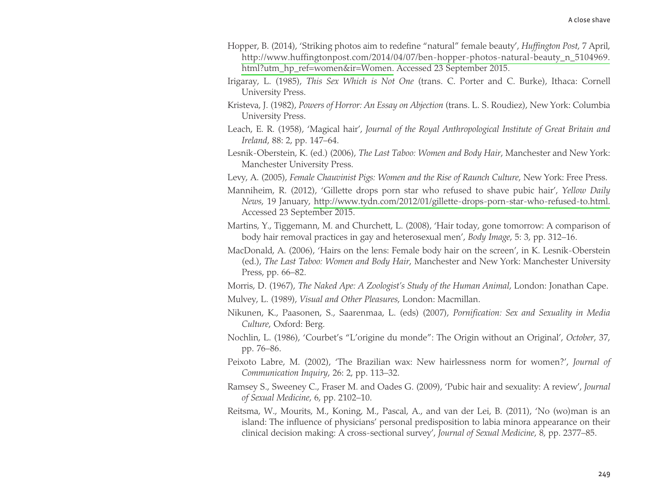- Hopper, B. (2014), 'Striking photos aim to redefine "natural" female beauty', *Huffington Post*, 7 April, [http://www.huffingtonpost.com/2014/04/07/ben-hopper-photos-natural-beauty\\_n\\_51](http://www.huffingtonpost.com/2014/04/07/ben-hopper-photos-natural-beauty_n_5104969.html?utm_hp_ref=women&ir=Women)04969. [html?utm\\_hp\\_ref=women&ir=W](http://www.huffingtonpost.com/2014/04/07/ben-hopper-photos-natural-beauty_n_5104969.html?utm_hp_ref=women&ir=Women)omen. Accessed 23 September 2015.
- Irigaray, L. (1985), *This Sex Which is Not One* (trans. C. Porter and C. Burke), Ithaca: Cornell University Press.
- Kristeva, J. (1982), *Powers of Horror: An Essay on Abjection* (trans. L. S. Roudiez), New York: Columbia University Press.
- Leach, E. R. (1958), 'Magical hair', *Journal of the Royal Anthropological Institute of Great Britain and Ireland*, 88: 2, pp. 147–64.
- Lesnik-Oberstein, K. (ed.) (2006), *The Last Taboo: Women and Body Hair*, Manchester and New York: Manchester University Press.
- Levy, A. (2005), *Female Chauvinist Pigs: Women and the Rise of Raunch Culture*, New York: Free Press.
- Manniheim, R. (2012), 'Gillette drops porn star who refused to shave pubic hair', *Yellow Daily News*, 19 J[anuary, http://www.tydn.com/2012/01/gillette-drops-porn-star-who-refused-](http://www.tydn.com/2012/01/gillette-drops-porn-star-who-refused-to.html)to.html. Accessed 23 September 2015.
- Martins, Y., Tiggemann, M. and Churchett, L. (2008), 'Hair today, gone tomorrow: A comparison of body hair removal practices in gay and heterosexual men', *Body Image*, 5: 3, pp. 312–16.
- MacDonald, A. (2006), 'Hairs on the lens: Female body hair on the screen', in K. Lesnik-Oberstein (ed.), *The Last Taboo: Women and Body Hair*, Manchester and New York: Manchester University Press, pp. 66–82.
- Morris, D. (1967), *The Naked Ape: A Zoologist's Study of the Human Animal*, London: Jonathan Cape. Mulvey, L. (1989), *Visual and Other Pleasures*, London: Macmillan.
- Nikunen, K., Paasonen, S., Saarenmaa, L. (eds) (2007), *Pornification: Sex and Sexuality in Media Culture*, Oxford: Berg.
- Nochlin, L. (1986), 'Courbet's "L'origine du monde": The Origin without an Original', *October*, 37, pp. 76–86.
- Peixoto Labre, M. (2002), 'The Brazilian wax: New hairlessness norm for women?', *Journal of Communication Inquiry*, 26: 2, pp. 113–32.
- Ramsey S., Sweeney C., Fraser M. and Oades G. (2009), 'Pubic hair and sexuality: A review', *Journal of Sexual Medicine*, 6, pp. 2102–10.
- Reitsma, W., Mourits, M., Koning, M., Pascal, A., and van der Lei, B. (2011), 'No (wo)man is an island: The influence of physicians' personal predisposition to labia minora appearance on their clinical decision making: A cross-sectional survey', *Journal of Sexual Medicine*, 8, pp. 2377–85.

⊕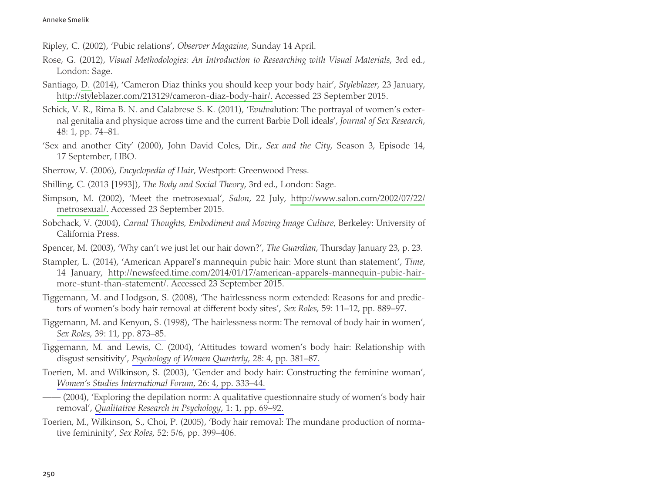Ripley, C. (2002), 'Pubic relations', *Observer Magazine*, Sunday 14 April.

Rose, G. (2012), *Visual Methodologies: An Introduction to Researching with Visual Materials*, 3rd ed., London: Sage.

S[anti](http://styleblazer.com/author/dsantiago/)ago, D. (2014), 'Cameron Diaz thinks you should keep your body hair', *Styleblazer*, 23 January, [http://styleblazer.com/213129/cameron-diaz-bod](http://styleblazer.com/213129/cameron-diaz-body-hair/)y-hair/. Accessed 23 September 2015.

- Schick, V. R., Rima B. N. and Calabrese S. K. (2011), 'E*vulva*lution: The portrayal of women's external genitalia and physique across time and the current Barbie Doll ideals', *Journal of Sex Research*, 48: 1, pp. 74–81.
- 'Sex and another City' (2000), John David Coles, Dir., *Sex and the City*, Season 3, Episode 14, 17 September, HBO.

Sherrow, V. (2006), *Encyclopedia of Hair*, Westport: Greenwood Press.

Shilling, C. (2013 [1993]), *The Body and Social Theory*, 3rd ed., London: Sage.

Simpson, M. (2002), 'Meet the metrosexual', *Salon*, [22 July, http://www.salon.com/2002](http://www.salon.com/2002/07/22/metrosexual/)/07/22/ [metro](http://www.salon.com/2002/07/22/metrosexual/)sexual/. Accessed 23 September 2015.

Sobchack, V. (2004), *Carnal Thoughts, Embodiment and Moving Image Culture*, Berkeley: University of California Press.

Spencer, M. (2003), 'Why can't we just let our hair down?', *The Guardian*, Thursday January 23, p. 23.

Stampler, L. (2014), 'American Apparel's mannequin pubic hair: More stunt than statement', *Time*, 14 J[anuary, http://newsfeed.time.com/2014/01/17/american-apparels-mannequin-pub](http://newsfeed.time.com/2014/01/17/american-apparels-mannequin-pubic-hair-more-stunt-than-statement/)ic-hair[more-stunt-than-state](http://newsfeed.time.com/2014/01/17/american-apparels-mannequin-pubic-hair-more-stunt-than-statement/)ment/. Accessed 23 September 2015.

Tiggemann, M. and Hodgson, S. (2008), 'The hairlessness norm extended: Reasons for and predictors of women's body hair removal at different body sites', *Sex Roles*, 59: 11–12, pp. 889–97.

Tiggemann, M. and Kenyon, S. (1998), 'The hairlessness norm: The removal of body hair in women', *Sex Roles*[, 39: 11, pp.](http://www.ingentaconnect.com/content/external-references?article=0360-0025()39:11L.873[aid=10699854]) 873–85.

Tiggemann, M. and Lewis, C. (2004), 'Attitudes toward women's body hair: Relationship with disgust sensitivity', *[Psychology of Women Quarterly](http://www.ingentaconnect.com/content/external-references?article=0361-6843()28:4L.381[aid=10699853])*, 28: 4, pp. 381–87.

Toerien, M. and Wilkinson, S. (2003), 'Gender and body hair: Constructing the feminine woman', *[Women's Studies International Forum](http://www.ingentaconnect.com/content/external-references?article=0277-5395()26:4L.333[aid=10699852])*, 26: 4, pp. 333–44.

—— (2004), 'Exploring the depilation norm: A qualitative questionnaire study of women's body hair removal', *[Qualitative Research in Psychology](http://www.ingentaconnect.com/content/external-references?article=1478-0887()1:1L.69[aid=10390459])*, 1: 1, pp. 69–92.

Toerien, M., Wilkinson, S., Choi, P. (2005), 'Body hair removal: The mundane production of normative femininity', *Sex Roles*, 52: 5/6, pp. 399–406.

₩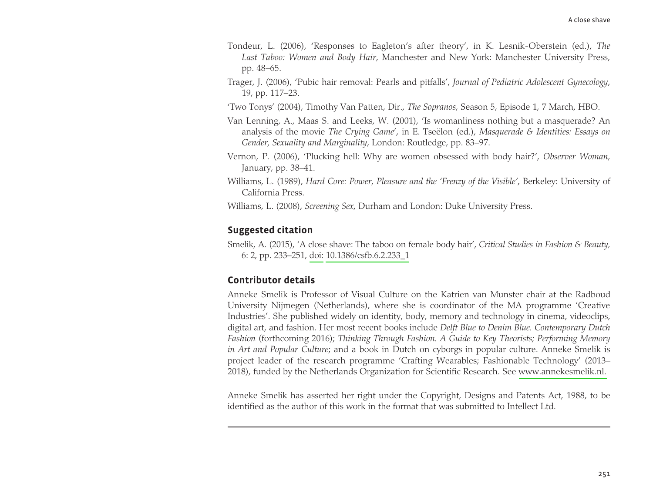- Tondeur, L. (2006), 'Responses to Eagleton's after theory', in K. Lesnik-Oberstein (ed.), *The Last Taboo: Women and Body Hair*, Manchester and New York: Manchester University Press, pp. 48–65.
- Trager, J. (2006), 'Pubic hair removal: Pearls and pitfalls', *Journal of Pediatric Adolescent Gynecology*, 19, pp. 117–23.
- 'Two Tonys' (2004), Timothy Van Patten, Dir., *The Sopranos*, Season 5, Episode 1, 7 March, HBO.
- Van Lenning, A., Maas S. and Leeks, W. (2001), 'Is womanliness nothing but a masquerade? An analysis of the movie *The Crying Game*', in E. Tseëlon (ed.), *Masquerade & Identities: Essays on Gender, Sexuality and Marginality*, London: Routledge, pp. 83–97.
- Vernon, P. (2006), 'Plucking hell: Why are women obsessed with body hair?', *Observer Woman*, January, pp. 38–41.
- Williams, L. (1989), *Hard Core: Power, Pleasure and the 'Frenzy of the Visible'*, Berkeley: University of California Press.
- Williams, L. (2008), *Screening Sex*, Durham and London: Duke University Press.

#### **Suggested citation**

Smelik, A. (2015), 'A close shave: The taboo on female body hair', *Critical Studies in Fashion & Beauty,* 6: 2, pp. 2[33–251, doi: 10.1386/csfb.6.](http://dx.doi.org/10.1386/csfb.6.2.233_1)2.233\_1

#### **Contributor details**

Anneke Smelik is Professor of Visual Culture on the Katrien van Munster chair at the Radboud University Nijmegen (Netherlands), where she is coordinator of the MA programme 'Creative Industries'. She published widely on identity, body, memory and technology in cinema, videoclips, digital art, and fashion. Her most recent books include *Delft Blue to Denim Blue. Contemporary Dutch Fashion* (forthcoming 2016); *Thinking Through Fashion. A Guide to Key Theorists; Performing Memory in Art and Popular Culture*; and a book in Dutch on cyborgs in popular culture. Anneke Smelik is project leader of the research programme 'Crafting Wearables; Fashionable Technology' (2013– 2018), funded by the Netherlands Organization for Scientific Resear[ch. See www.annekesm](http://www.annekesmelik.nl)elik.nl.

Anneke Smelik has asserted her right under the Copyright, Designs and Patents Act, 1988, to be identified as the author of this work in the format that was submitted to Intellect Ltd.